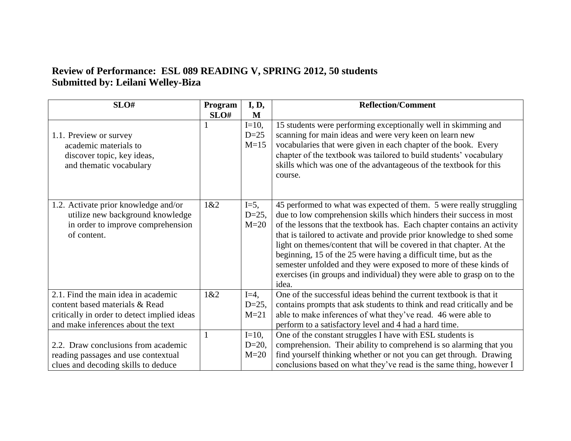## **Review of Performance: ESL 089 READING V, SPRING 2012, 50 students Submitted by: Leilani Welley-Biza**

| SLO#                                                                                                                         | Program      | I, D,                         | <b>Reflection/Comment</b>                                                                                                                                                                                                                                                                                                                                                                                                                                                                                                                                                                          |
|------------------------------------------------------------------------------------------------------------------------------|--------------|-------------------------------|----------------------------------------------------------------------------------------------------------------------------------------------------------------------------------------------------------------------------------------------------------------------------------------------------------------------------------------------------------------------------------------------------------------------------------------------------------------------------------------------------------------------------------------------------------------------------------------------------|
|                                                                                                                              | SLO#         | M                             |                                                                                                                                                                                                                                                                                                                                                                                                                                                                                                                                                                                                    |
| 1.1. Preview or survey<br>academic materials to<br>discover topic, key ideas,<br>and thematic vocabulary                     |              | $I=10$ ,<br>$D=25$<br>$M=15$  | 15 students were performing exceptionally well in skimming and<br>scanning for main ideas and were very keen on learn new<br>vocabularies that were given in each chapter of the book. Every<br>chapter of the textbook was tailored to build students' vocabulary<br>skills which was one of the advantageous of the textbook for this<br>course.                                                                                                                                                                                                                                                 |
| 1.2. Activate prior knowledge and/or<br>utilize new background knowledge<br>in order to improve comprehension<br>of content. | 1&2          | $I=5$ ,<br>$D=25$ ,<br>$M=20$ | 45 performed to what was expected of them. 5 were really struggling<br>due to low comprehension skills which hinders their success in most<br>of the lessons that the textbook has. Each chapter contains an activity<br>that is tailored to activate and provide prior knowledge to shed some<br>light on themes/content that will be covered in that chapter. At the<br>beginning, 15 of the 25 were having a difficult time, but as the<br>semester unfolded and they were exposed to more of these kinds of<br>exercises (in groups and individual) they were able to grasp on to the<br>idea. |
| 2.1. Find the main idea in academic                                                                                          | 1&2          | $I=4$ ,                       | One of the successful ideas behind the current textbook is that it                                                                                                                                                                                                                                                                                                                                                                                                                                                                                                                                 |
| content based materials & Read                                                                                               |              | $D=25$ ,                      | contains prompts that ask students to think and read critically and be                                                                                                                                                                                                                                                                                                                                                                                                                                                                                                                             |
| critically in order to detect implied ideas                                                                                  |              | $M=21$                        | able to make inferences of what they've read. 46 were able to                                                                                                                                                                                                                                                                                                                                                                                                                                                                                                                                      |
| and make inferences about the text                                                                                           |              |                               | perform to a satisfactory level and 4 had a hard time.                                                                                                                                                                                                                                                                                                                                                                                                                                                                                                                                             |
|                                                                                                                              | $\mathbf{1}$ | $I=10$ ,                      | One of the constant struggles I have with ESL students is                                                                                                                                                                                                                                                                                                                                                                                                                                                                                                                                          |
| 2.2. Draw conclusions from academic                                                                                          |              | $D=20$ ,                      | comprehension. Their ability to comprehend is so alarming that you                                                                                                                                                                                                                                                                                                                                                                                                                                                                                                                                 |
| reading passages and use contextual                                                                                          |              | $M=20$                        | find yourself thinking whether or not you can get through. Drawing                                                                                                                                                                                                                                                                                                                                                                                                                                                                                                                                 |
| clues and decoding skills to deduce                                                                                          |              |                               | conclusions based on what they've read is the same thing, however I                                                                                                                                                                                                                                                                                                                                                                                                                                                                                                                                |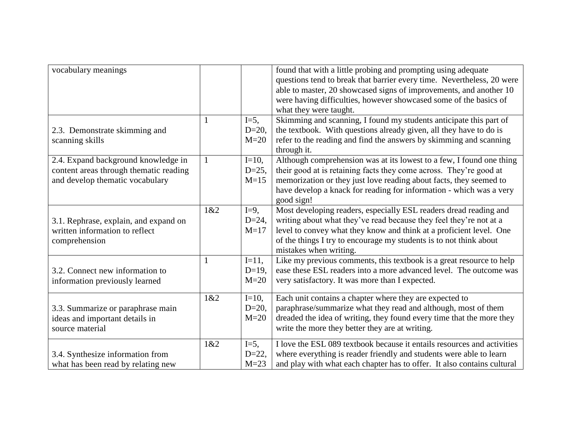| vocabulary meanings                                                                                              | 1            | $I=5$ ,                        | found that with a little probing and prompting using adequate<br>questions tend to break that barrier every time. Nevertheless, 20 were<br>able to master, 20 showcased signs of improvements, and another 10<br>were having difficulties, however showcased some of the basics of<br>what they were taught.<br>Skimming and scanning, I found my students anticipate this part of |
|------------------------------------------------------------------------------------------------------------------|--------------|--------------------------------|------------------------------------------------------------------------------------------------------------------------------------------------------------------------------------------------------------------------------------------------------------------------------------------------------------------------------------------------------------------------------------|
| 2.3. Demonstrate skimming and<br>scanning skills                                                                 |              | $D=20$ ,<br>$M=20$             | the textbook. With questions already given, all they have to do is<br>refer to the reading and find the answers by skimming and scanning<br>through it.                                                                                                                                                                                                                            |
| 2.4. Expand background knowledge in<br>content areas through thematic reading<br>and develop thematic vocabulary | $\mathbf{1}$ | $I=10$ ,<br>$D=25$ ,<br>$M=15$ | Although comprehension was at its lowest to a few, I found one thing<br>their good at is retaining facts they come across. They're good at<br>memorization or they just love reading about facts, they seemed to<br>have develop a knack for reading for information - which was a very<br>good sign!                                                                              |
| 3.1. Rephrase, explain, and expand on<br>written information to reflect<br>comprehension                         | 1&2          | $I=9$ ,<br>$D=24$ ,<br>$M=17$  | Most developing readers, especially ESL readers dread reading and<br>writing about what they've read because they feel they're not at a<br>level to convey what they know and think at a proficient level. One<br>of the things I try to encourage my students is to not think about<br>mistakes when writing.                                                                     |
| 3.2. Connect new information to<br>information previously learned                                                | 1            | $I=11,$<br>$D=19$ ,<br>$M=20$  | Like my previous comments, this textbook is a great resource to help<br>ease these ESL readers into a more advanced level. The outcome was<br>very satisfactory. It was more than I expected.                                                                                                                                                                                      |
| 3.3. Summarize or paraphrase main<br>ideas and important details in<br>source material                           | 1&2          | $I=10$ ,<br>$D=20,$<br>$M=20$  | Each unit contains a chapter where they are expected to<br>paraphrase/summarize what they read and although, most of them<br>dreaded the idea of writing, they found every time that the more they<br>write the more they better they are at writing.                                                                                                                              |
| 3.4. Synthesize information from<br>what has been read by relating new                                           | 1&2          | $I=5$ ,<br>$D=22$ ,<br>$M=23$  | I love the ESL 089 textbook because it entails resources and activities<br>where everything is reader friendly and students were able to learn<br>and play with what each chapter has to offer. It also contains cultural                                                                                                                                                          |